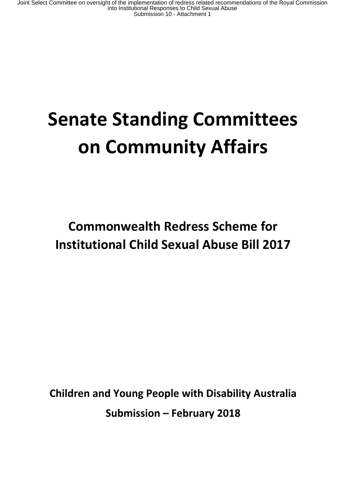Joint Select Committee on oversight of the implementation of redress related recommendations of the Royal Commission<br>into Institutional Responses to Child Sexual Abuse<br>Submission 10 - Attachment 1

# **Senate Standing Committees on Community Affairs**

**Commonwealth Redress Scheme for Institutional Child Sexual Abuse Bill 2017**

**Children and Young People with Disability Australia Submission – February 2018**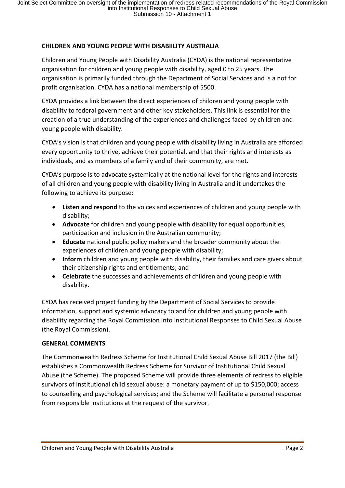# **CHILDREN AND YOUNG PEOPLE WITH DISABIILITY AUSTRALIA**

Children and Young People with Disability Australia (CYDA) is the national representative organisation for children and young people with disability, aged 0 to 25 years. The organisation is primarily funded through the Department of Social Services and is a not for profit organisation. CYDA has a national membership of 5500.

CYDA provides a link between the direct experiences of children and young people with disability to federal government and other key stakeholders. This link is essential for the creation of a true understanding of the experiences and challenges faced by children and young people with disability.

CYDA's vision is that children and young people with disability living in Australia are afforded every opportunity to thrive, achieve their potential, and that their rights and interests as individuals, and as members of a family and of their community, are met.

CYDA's purpose is to advocate systemically at the national level for the rights and interests of all children and young people with disability living in Australia and it undertakes the following to achieve its purpose:

- **Listen and respond** to the voices and experiences of children and young people with disability;
- **Advocate** for children and young people with disability for equal opportunities, participation and inclusion in the Australian community;
- **Educate** national public policy makers and the broader community about the experiences of children and young people with disability;
- **Inform** children and young people with disability, their families and care givers about their citizenship rights and entitlements; and
- **Celebrate** the successes and achievements of children and young people with disability.

CYDA has received project funding by the Department of Social Services to provide information, support and systemic advocacy to and for children and young people with disability regarding the Royal Commission into Institutional Responses to Child Sexual Abuse (the Royal Commission).

# **GENERAL COMMENTS**

The Commonwealth Redress Scheme for Institutional Child Sexual Abuse Bill 2017 (the Bill) establishes a Commonwealth Redress Scheme for Survivor of Institutional Child Sexual Abuse (the Scheme). The proposed Scheme will provide three elements of redress to eligible survivors of institutional child sexual abuse: a monetary payment of up to \$150,000; access to counselling and psychological services; and the Scheme will facilitate a personal response from responsible institutions at the request of the survivor.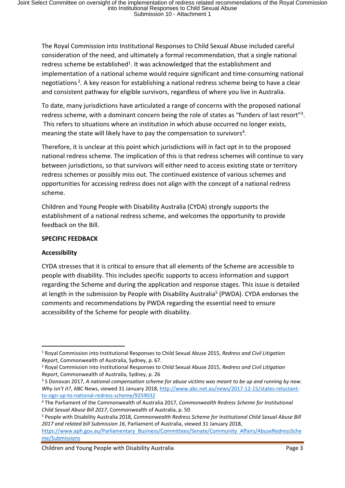The Royal Commission into Institutional Responses to Child Sexual Abuse included careful consideration of the need, and ultimately a formal recommendation, that a single national redress scheme be established<sup>1</sup>. It was acknowledged that the establishment and implementation of a national scheme would require significant and time-consuming national negotiations<sup>2</sup> *.* A key reason for establishing a national redress scheme being to have a clear and consistent pathway for eligible survivors, regardless of where you live in Australia.

To date, many jurisdictions have articulated a range of concerns with the proposed national redress scheme, with a dominant concern being the role of states as "funders of last resort"<sup>3</sup>. This refers to situations where an institution in which abuse occurred no longer exists, meaning the state will likely have to pay the compensation to survivors<sup>4</sup>.

Therefore, it is unclear at this point which jurisdictions will in fact opt in to the proposed national redress scheme. The implication of this is that redress schemes will continue to vary between jurisdictions, so that survivors will either need to access existing state or territory redress schemes or possibly miss out. The continued existence of various schemes and opportunities for accessing redress does not align with the concept of a national redress scheme.

Children and Young People with Disability Australia (CYDA) strongly supports the establishment of a national redress scheme, and welcomes the opportunity to provide feedback on the Bill.

#### **SPECIFIC FEEDBACK**

# **Accessibility**

CYDA stresses that it is critical to ensure that all elements of the Scheme are accessible to people with disability. This includes specific supports to access information and support regarding the Scheme and during the application and response stages. This issue is detailed at length in the submission by People with Disability Australia<sup>5</sup> (PWDA). CYDA endorses the comments and recommendations by PWDA regarding the essential need to ensure accessibility of the Scheme for people with disability.

Children and Young People with Disability Australia **Page 3** and Page 3

<sup>1</sup> Royal Commission into Institutional Responses to Child Sexual Abuse 2015, *Redress and Civil Litigation Report*, Commonwealth of Australia, Sydney, p. 67.

<sup>2</sup> Royal Commission into Institutional Responses to Child Sexual Abuse 2015, *Redress and Civil Litigation Report*, Commonwealth of Australia, Sydney, p. 26

<sup>&</sup>lt;sup>3</sup> S Donovan 2017, A national compensation scheme for abuse victims was meant to be up and running by now. *Why isn't it?*, ABC News, viewed 31 January 2018, http://www.abc.net.au/news/2017-12-15/states-reluctantto-sign-up-to-national-redress-scheme/9259032

<sup>4</sup> The Parliament of the Commonwealth of Australia 2017, *Commonwealth Redress Scheme for Institutional Child Sexual Abuse Bill 2017*, Commonwealth of Australia, p. 50

<sup>5</sup> People with Disability Australia 2018, *Commonwealth Redress Scheme for Institutional Child Sexual Abuse Bill 2017 and related bill Submission 16*, Parliament of Australia, viewed 31 January 2018,

https://www.aph.gov.au/Parliamentary Business/Committees/Senate/Community Affairs/AbuseRedressSche me/Submissions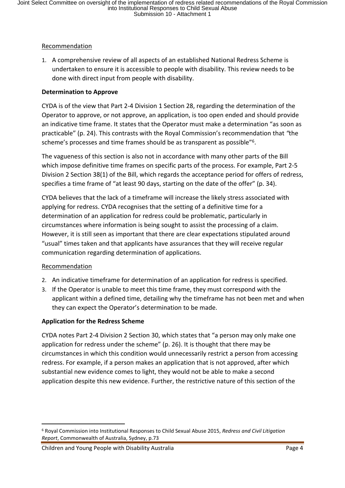# Recommendation

1. A comprehensive review of all aspects of an established National Redress Scheme is undertaken to ensure it is accessible to people with disability. This review needs to be done with direct input from people with disability.

# **Determination to Approve**

CYDA is of the view that Part 2-4 Division 1 Section 28, regarding the determination of the Operator to approve, or not approve, an application, is too open ended and should provide an indicative time frame. It states that the Operator must make a determination "as soon as practicable" (p. 24). This contrasts with the Royal Commission's recommendation that *"*the scheme's processes and time frames should be as transparent as possible"<sup>6</sup>.

The vagueness of this section is also not in accordance with many other parts of the Bill which impose definitive time frames on specific parts of the process. For example, Part 2-5 Division 2 Section 38(1) of the Bill, which regards the acceptance period for offers of redress, specifies a time frame of "at least 90 days, starting on the date of the offer" (p. 34).

CYDA believes that the lack of a timeframe will increase the likely stress associated with applying for redress. CYDA recognises that the setting of a definitive time for a determination of an application for redress could be problematic, particularly in circumstances where information is being sought to assist the processing of a claim. However, it is still seen as important that there are clear expectations stipulated around "usual" times taken and that applicants have assurances that they will receive regular communication regarding determination of applications.

# Recommendation

- 2. An indicative timeframe for determination of an application for redress is specified.
- 3. If the Operator is unable to meet this time frame, they must correspond with the applicant within a defined time, detailing why the timeframe has not been met and when they can expect the Operator's determination to be made.

# **Application for the Redress Scheme**

CYDA notes Part 2-4 Division 2 Section 30, which states that "a person may only make one application for redress under the scheme" (p. 26). It is thought that there may be circumstances in which this condition would unnecessarily restrict a person from accessing redress. For example, if a person makes an application that is not approved, after which substantial new evidence comes to light, they would not be able to make a second application despite this new evidence. Further, the restrictive nature of this section of the

<sup>6</sup> Royal Commission into Institutional Responses to Child Sexual Abuse 2015, *Redress and Civil Litigation Report*, Commonwealth of Australia, Sydney, p.73

Children and Young People with Disability Australia **Page 4** and Page 4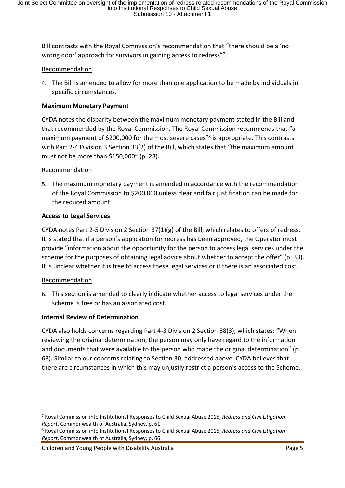Bill contrasts with the Royal Commission's recommendation that "there should be a 'no wrong door' approach for survivors in gaining access to redress"<sup>7</sup> *.*

#### Recommendation

4. The Bill is amended to allow for more than one application to be made by individuals in specific circumstances.

#### **Maximum Monetary Payment**

CYDA notes the disparity between the maximum monetary payment stated in the Bill and that recommended by the Royal Commission. The Royal Commission recommends that "a maximum payment of \$200,000 for the most severe cases"<sup>8</sup> is appropriate. This contrasts with Part 2-4 Division 3 Section 33(2) of the Bill, which states that "the maximum amount must not be more than \$150,000" (p. 28).

#### Recommendation

5. The maximum monetary payment is amended in accordance with the recommendation of the Royal Commission to \$200 000 unless clear and fair justification can be made for the reduced amount.

#### **Access to Legal Services**

CYDA notes Part 2-5 Division 2 Section  $37(1)(g)$  of the Bill, which relates to offers of redress. It is stated that if a person's application for redress has been approved, the Operator must provide "information about the opportunity for the person to access legal services under the scheme for the purposes of obtaining legal advice about whether to accept the offer" (p. 33). It is unclear whether it is free to access these legal services or if there is an associated cost.

#### Recommendation

6. This section is amended to clearly indicate whether access to legal services under the scheme is free or has an associated cost.

# **Internal Review of Determination**

CYDA also holds concerns regarding Part 4-3 Division 2 Section 88(3), which states: "When reviewing the original determination, the person may only have regard to the information and documents that were available to the person who made the original determination" (p. 68). Similar to our concerns relating to Section 30, addressed above, CYDA believes that there are circumstances in which this may unjustly restrict a person's access to the Scheme.

<sup>7</sup> Royal Commission into Institutional Responses to Child Sexual Abuse 2015, *Redress and Civil Litigation Report*, Commonwealth of Australia, Sydney, p. 61

<sup>8</sup> Royal Commission into Institutional Responses to Child Sexual Abuse 2015, *Redress and Civil Litigation Report*, Commonwealth of Australia, Sydney, p. 66

Children and Young People with Disability Australia **Page 5** and 2011 12:30 and 2012 12:30 Page 5